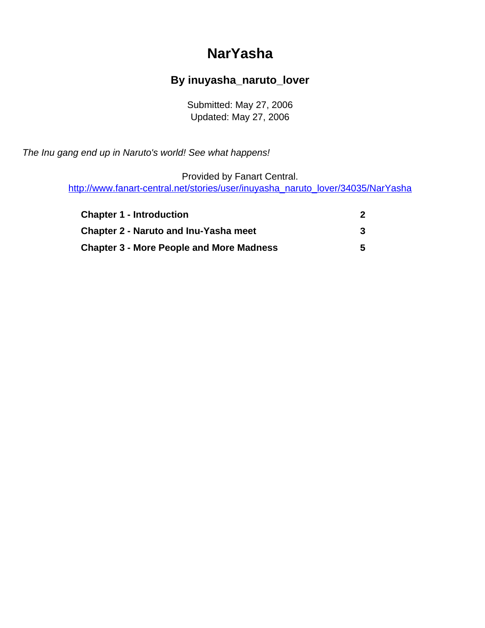# **NarYasha**

### **By inuyasha\_naruto\_lover**

Submitted: May 27, 2006 Updated: May 27, 2006

<span id="page-0-0"></span>The Inu gang end up in Naruto's world! See what happens!

Provided by Fanart Central.

[http://www.fanart-central.net/stories/user/inuyasha\\_naruto\\_lover/34035/NarYasha](#page-0-0)

| <b>Chapter 1 - Introduction</b>                 |   |
|-------------------------------------------------|---|
| <b>Chapter 2 - Naruto and Inu-Yasha meet</b>    |   |
| <b>Chapter 3 - More People and More Madness</b> | 5 |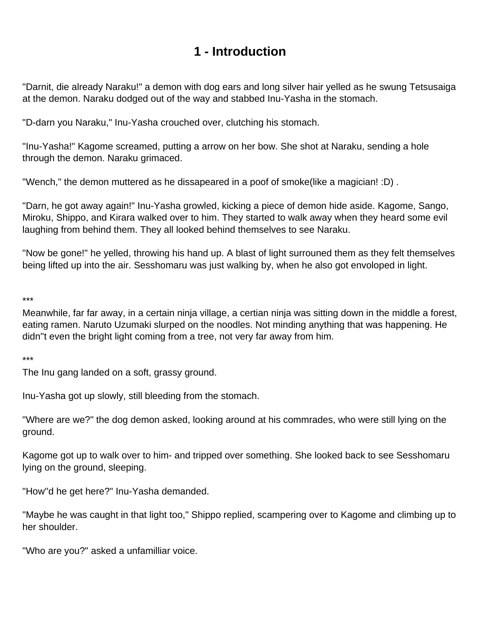## **1 - Introduction**

<span id="page-1-0"></span>"Darnit, die already Naraku!" a demon with dog ears and long silver hair yelled as he swung Tetsusaiga at the demon. Naraku dodged out of the way and stabbed Inu-Yasha in the stomach.

"D-darn you Naraku," Inu-Yasha crouched over, clutching his stomach.

"Inu-Yasha!" Kagome screamed, putting a arrow on her bow. She shot at Naraku, sending a hole through the demon. Naraku grimaced.

"Wench," the demon muttered as he dissapeared in a poof of smoke(like a magician! :D) .

"Darn, he got away again!" Inu-Yasha growled, kicking a piece of demon hide aside. Kagome, Sango, Miroku, Shippo, and Kirara walked over to him. They started to walk away when they heard some evil laughing from behind them. They all looked behind themselves to see Naraku.

"Now be gone!" he yelled, throwing his hand up. A blast of light surrouned them as they felt themselves being lifted up into the air. Sesshomaru was just walking by, when he also got envoloped in light.

\*\*\*

Meanwhile, far far away, in a certain ninja village, a certian ninja was sitting down in the middle a forest, eating ramen. Naruto Uzumaki slurped on the noodles. Not minding anything that was happening. He didn''t even the bright light coming from a tree, not very far away from him.

\*\*\*

The Inu gang landed on a soft, grassy ground.

Inu-Yasha got up slowly, still bleeding from the stomach.

"Where are we?" the dog demon asked, looking around at his commrades, who were still lying on the ground.

Kagome got up to walk over to him- and tripped over something. She looked back to see Sesshomaru lying on the ground, sleeping.

"How''d he get here?" Inu-Yasha demanded.

"Maybe he was caught in that light too," Shippo replied, scampering over to Kagome and climbing up to her shoulder.

"Who are you?" asked a unfamilliar voice.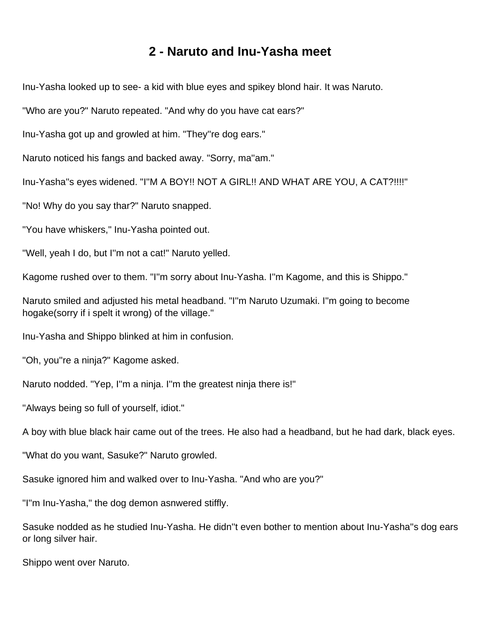#### **2 - Naruto and Inu-Yasha meet**

<span id="page-2-0"></span>Inu-Yasha looked up to see- a kid with blue eyes and spikey blond hair. It was Naruto.

"Who are you?" Naruto repeated. "And why do you have cat ears?"

Inu-Yasha got up and growled at him. "They''re dog ears."

Naruto noticed his fangs and backed away. "Sorry, ma''am."

Inu-Yasha''s eyes widened. "I''M A BOY!! NOT A GIRL!! AND WHAT ARE YOU, A CAT?!!!!"

"No! Why do you say thar?" Naruto snapped.

"You have whiskers," Inu-Yasha pointed out.

"Well, yeah I do, but I''m not a cat!" Naruto yelled.

Kagome rushed over to them. "I''m sorry about Inu-Yasha. I''m Kagome, and this is Shippo."

Naruto smiled and adjusted his metal headband. "I''m Naruto Uzumaki. I''m going to become hogake(sorry if i spelt it wrong) of the village."

Inu-Yasha and Shippo blinked at him in confusion.

"Oh, you''re a ninja?" Kagome asked.

Naruto nodded. "Yep, I''m a ninja. I''m the greatest ninja there is!"

"Always being so full of yourself, idiot."

A boy with blue black hair came out of the trees. He also had a headband, but he had dark, black eyes.

"What do you want, Sasuke?" Naruto growled.

Sasuke ignored him and walked over to Inu-Yasha. "And who are you?"

"I''m Inu-Yasha," the dog demon asnwered stiffly.

Sasuke nodded as he studied Inu-Yasha. He didn''t even bother to mention about Inu-Yasha''s dog ears or long silver hair.

Shippo went over Naruto.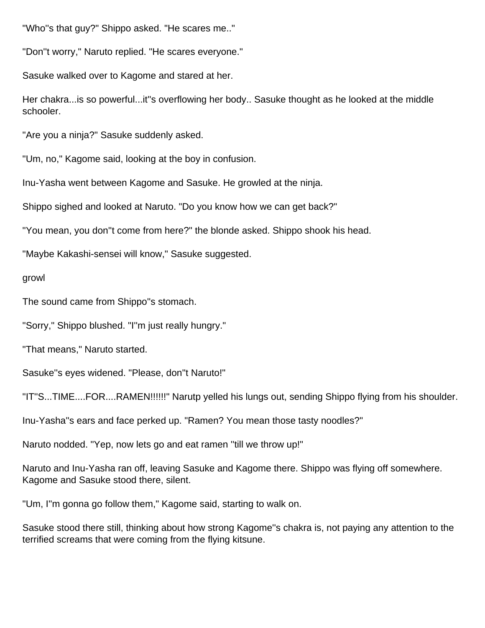"Who''s that guy?" Shippo asked. "He scares me.."

"Don''t worry," Naruto replied. "He scares everyone."

Sasuke walked over to Kagome and stared at her.

Her chakra...is so powerful...it''s overflowing her body.. Sasuke thought as he looked at the middle schooler.

"Are you a ninja?" Sasuke suddenly asked.

"Um, no," Kagome said, looking at the boy in confusion.

Inu-Yasha went between Kagome and Sasuke. He growled at the ninja.

Shippo sighed and looked at Naruto. "Do you know how we can get back?"

"You mean, you don''t come from here?" the blonde asked. Shippo shook his head.

"Maybe Kakashi-sensei will know," Sasuke suggested.

growl

The sound came from Shippo''s stomach.

"Sorry," Shippo blushed. "I''m just really hungry."

"That means," Naruto started.

Sasuke''s eyes widened. "Please, don''t Naruto!"

"IT''S...TIME....FOR....RAMEN!!!!!!" Narutp yelled his lungs out, sending Shippo flying from his shoulder.

Inu-Yasha''s ears and face perked up. "Ramen? You mean those tasty noodles?"

Naruto nodded. "Yep, now lets go and eat ramen ''till we throw up!"

Naruto and Inu-Yasha ran off, leaving Sasuke and Kagome there. Shippo was flying off somewhere. Kagome and Sasuke stood there, silent.

"Um, I''m gonna go follow them," Kagome said, starting to walk on.

Sasuke stood there still, thinking about how strong Kagome''s chakra is, not paying any attention to the terrified screams that were coming from the flying kitsune.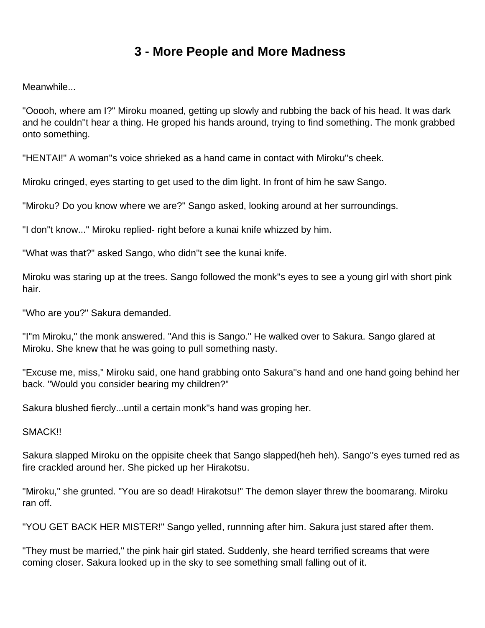### **3 - More People and More Madness**

<span id="page-4-0"></span>Meanwhile...

"Ooooh, where am I?" Miroku moaned, getting up slowly and rubbing the back of his head. It was dark and he couldn''t hear a thing. He groped his hands around, trying to find something. The monk grabbed onto something.

"HENTAI!" A woman''s voice shrieked as a hand came in contact with Miroku''s cheek.

Miroku cringed, eyes starting to get used to the dim light. In front of him he saw Sango.

"Miroku? Do you know where we are?" Sango asked, looking around at her surroundings.

"I don''t know..." Miroku replied- right before a kunai knife whizzed by him.

"What was that?" asked Sango, who didn''t see the kunai knife.

Miroku was staring up at the trees. Sango followed the monk''s eyes to see a young girl with short pink hair.

"Who are you?" Sakura demanded.

"I''m Miroku," the monk answered. "And this is Sango." He walked over to Sakura. Sango glared at Miroku. She knew that he was going to pull something nasty.

"Excuse me, miss," Miroku said, one hand grabbing onto Sakura''s hand and one hand going behind her back. "Would you consider bearing my children?"

Sakura blushed fiercly...until a certain monk''s hand was groping her.

SMACK!!

Sakura slapped Miroku on the oppisite cheek that Sango slapped(heh heh). Sango''s eyes turned red as fire crackled around her. She picked up her Hirakotsu.

"Miroku," she grunted. "You are so dead! Hirakotsu!" The demon slayer threw the boomarang. Miroku ran off.

"YOU GET BACK HER MISTER!" Sango yelled, runnning after him. Sakura just stared after them.

"They must be married," the pink hair girl stated. Suddenly, she heard terrified screams that were coming closer. Sakura looked up in the sky to see something small falling out of it.